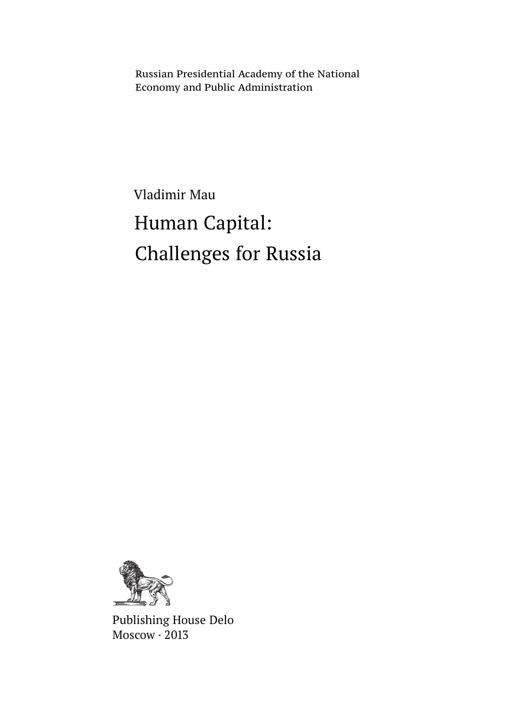Russian Presidential Academy of the National Economy and Public Administration

Vladimir Mau Human Capital: Challenges for Russia



Publishing House Delo  $M$ oscow  $\cdot$  2013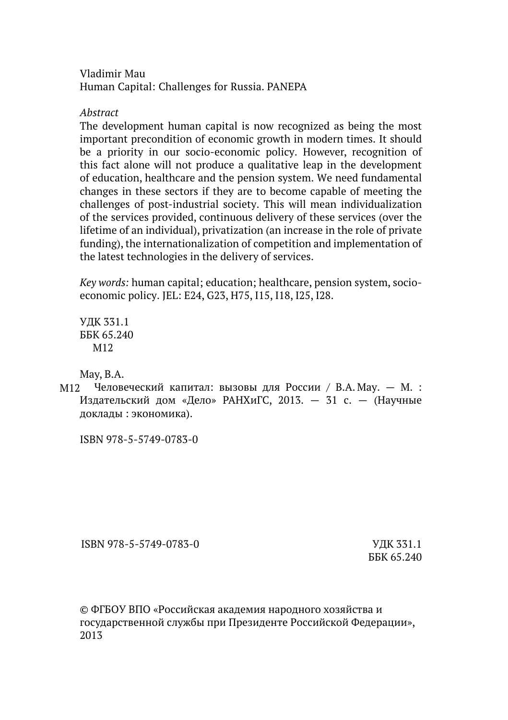Vladimir Mau Human Capital: Challenges for Russia. PANEPA

### *Abstract*

The development human capital is now recognized as being the most important precondition of economic growth in modern times. It should be a priority in our socio-economic policy. However, recognition of this fact alone will not produce a qualitative leap in the development of education, healthcare and the pension system. We need fundamental changes in these sectors if they are to become capable of meeting the challenges of post-industrial society. This will mean individualization of the services provided, continuous delivery of these services (over the lifetime of an individual), privatization (an increase in the role of private funding), the internationalization of competition and implementation of the latest technologies in the delivery of services.

*Key words:* human capital; education; healthcare, pension system, socioeconomic policy. JEL: E24, G23, H75, I15, I18, I25, I28.

УДК 331.1 ББК 65.240 М12

Мау, В.А.

Человеческий капитал: вызовы для России / В.А. Мау. — М. : М12Издательский дом «Дело» РАНХиГС, 2013. — 31 с. — (Научные доклады : экономика).

ISBN 978-5-5749-0783-0

ISBN 978-5-5749-0783-0 УДК 331.1

ББК 65.240

© ФГБОУ ВПО «Российская академия народного хозяйства и государственной службы при Президенте Российской Федерации», 2013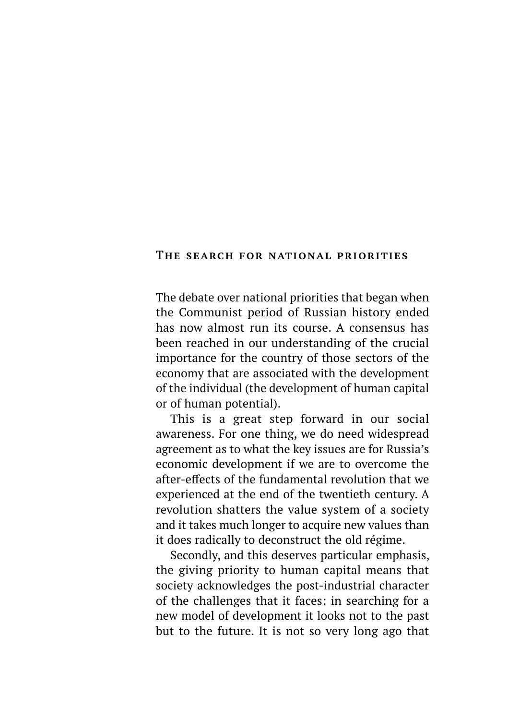### THE SEARCH FOR NATIONAL PRIORITIES

The debate over national priorities that began when the Communist period of Russian history ended has now almost run its course. A consensus has been reached in our understanding of the crucial importance for the country of those sectors of the economy that are associated with the development of the individual (the development of human capital or of human potential).

This is a great step forward in our social awareness. For one thing, we do need widespread agreement as to what the key issues are for Russia's economic development if we are to overcome the after-effects of the fundamental revolution that we experienced at the end of the twentieth century. A revolution shatters the value system of a society and it takes much longer to acquire new values than it does radically to deconstruct the old régime.

Secondly, and this deserves particular emphasis, the giving priority to human capital means that society acknowledges the post-industrial character of the challenges that it faces: in searching for a new model of development it looks not to the past but to the future. It is not so very long ago that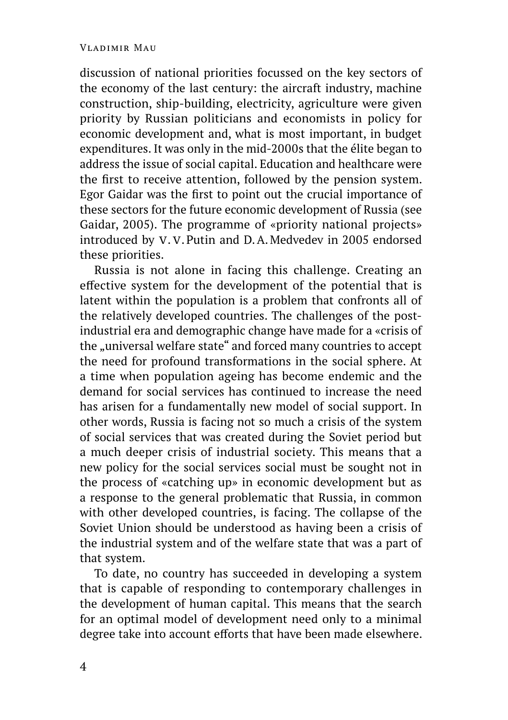discussion of national priorities focussed on the key sectors of the economy of the last century: the aircraft industry, machine construction, ship-building, electricity, agriculture were given priority by Russian politicians and economists in policy for economic development and, what is most important, in budget expenditures. It was only in the mid-2000s that the élite began to address the issue of social capital. Education and healthcare were the first to receive attention, followed by the pension system. Egor Gaidar was the first to point out the crucial importance of these sectors for the future economic development of Russia (see Gaidar, 2005). The programme of «priority national projects» introduced by V.V. Putin and D.A. Medvedev in 2005 endorsed these priorities.

Russia is not alone in facing this challenge. Creating an effective system for the development of the potential that is latent within the population is a problem that confronts all of the relatively developed countries. The challenges of the postindustrial era and demographic change have made for a «crisis of the "universal welfare state" and forced many countries to accept the need for profound transformations in the social sphere. At a time when population ageing has become endemic and the demand for social services has continued to increase the need has arisen for a fundamentally new model of social support. In other words, Russia is facing not so much a crisis of the system of social services that was created during the Soviet period but a much deeper crisis of industrial society. This means that a new policy for the social services social must be sought not in the process of «catching up» in economic development but as a response to the general problematic that Russia, in common with other developed countries, is facing. The collapse of the Soviet Union should be understood as having been a crisis of the industrial system and of the welfare state that was a part of that system.

To date, no country has succeeded in developing a system that is capable of responding to contemporary challenges in the development of human capital. This means that the search for an optimal model of development need only to a minimal degree take into account efforts that have been made elsewhere.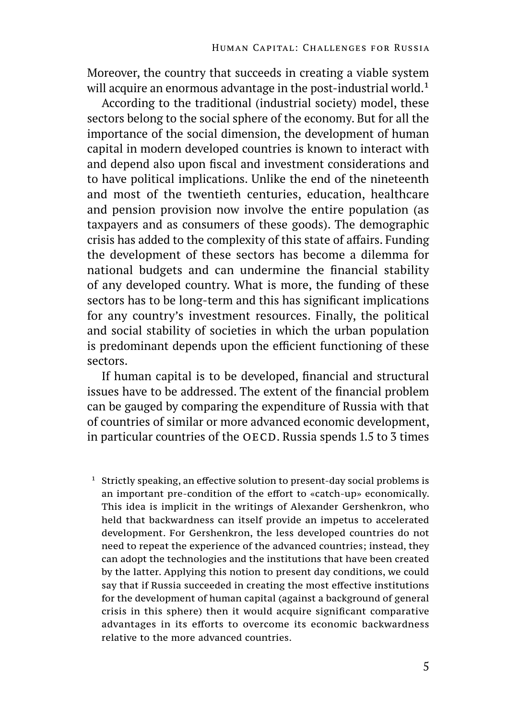Moreover, the country that succeeds in creating a viable system will acquire an enormous advantage in the post-industrial world. $<sup>1</sup>$ </sup>

According to the traditional (industrial society) model, these sectors belong to the social sphere of the economy. But for all the importance of the social dimension, the development of human capital in modern developed countries is known to interact with and depend also upon fiscal and investment considerations and to have political implications. Unlike the end of the nineteenth and most of the twentieth centuries, education, healthcare and pension provision now involve the entire population (as taxpayers and as consumers of these goods). The demographic crisis has added to the complexity of this state of affairs. Funding the development of these sectors has become a dilemma for national budgets and can undermine the financial stability of any developed country. What is more, the funding of these sectors has to be long-term and this has significant implications for any country's investment resources. Finally, the political and social stability of societies in which the urban population is predominant depends upon the efficient functioning of these sectors.

If human capital is to be developed, financial and structural issues have to be addressed. The extent of the financial problem can be gauged by comparing the expenditure of Russia with that of countries of similar or more advanced economic development, in particular countries of the OECD. Russia spends 1.5 to 3 times

 $1$  Strictly speaking, an effective solution to present-day social problems is an important pre-condition of the effort to «catch-up» economically. This idea is implicit in the writings of Alexander Gershenkron, who held that backwardness can itself provide an impetus to accelerated development. For Gershenkron, the less developed countries do not need to repeat the experience of the advanced countries; instead, they can adopt the technologies and the institutions that have been created by the latter. Applying this notion to present day conditions, we could say that if Russia succeeded in creating the most effective institutions for the development of human capital (against a background of general crisis in this sphere) then it would acquire significant comparative advantages in its efforts to overcome its economic backwardness relative to the more advanced countries.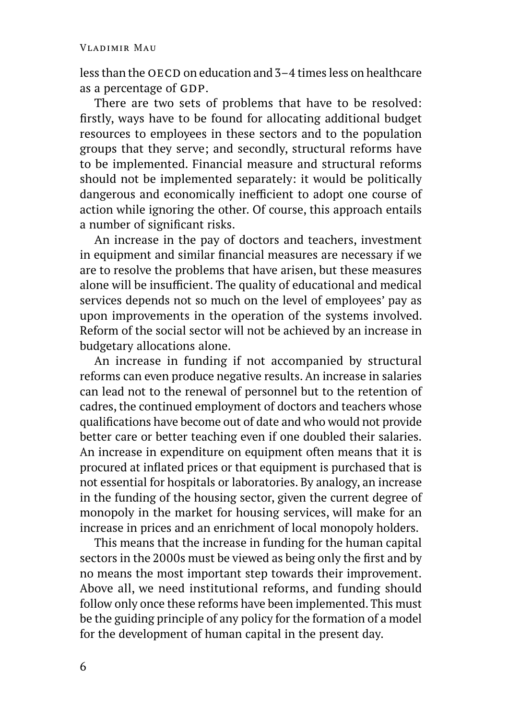#### **VLADIMIR MAU**

less than the OECD on education and  $3-4$  times less on healthcare as a percentage of GDP.

There are two sets of problems that have to be resolved: firstly, ways have to be found for allocating additional budget resources to employees in these sectors and to the population groups that they serve; and secondly, structural reforms have to be implemented. Financial measure and structural reforms should not be implemented separately: it would be politically dangerous and economically inefficient to adopt one course of action while ignoring the other. Of course, this approach entails a number of significant risks.

An increase in the pay of doctors and teachers, investment in equipment and similar financial measures are necessary if we are to resolve the problems that have arisen, but these measures alone will be insufficient. The quality of educational and medical services depends not so much on the level of employees' pay as upon improvements in the operation of the systems involved. Reform of the social sector will not be achieved by an increase in budgetary allocations alone.

An increase in funding if not accompanied by structural reforms can even produce negative results. An increase in salaries can lead not to the renewal of personnel but to the retention of cadres, the continued employment of doctors and teachers whose qualifications have become out of date and who would not provide better care or better teaching even if one doubled their salaries. An increase in expenditure on equipment often means that it is procured at inflated prices or that equipment is purchased that is not essential for hospitals or laboratories. By analogy, an increase in the funding of the housing sector, given the current degree of monopoly in the market for housing services, will make for an increase in prices and an enrichment of local monopoly holders.

This means that the increase in funding for the human capital sectors in the 2000s must be viewed as being only the first and by no means the most important step towards their improvement. Above all, we need institutional reforms, and funding should follow only once these reforms have been implemented. This must be the guiding principle of any policy for the formation of a model for the development of human capital in the present day.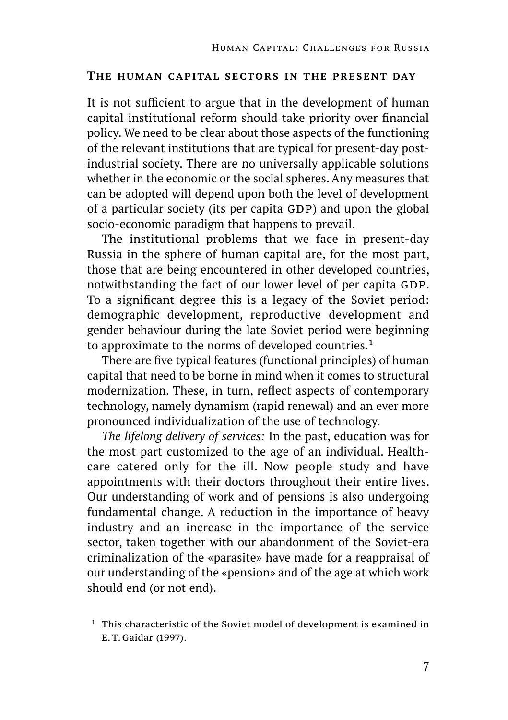### THE HUMAN CAPITAL SECTORS IN THE PRESENT DAY

It is not sufficient to argue that in the development of human capital institutional reform should take priority over financial policy. We need to be clear about those aspects of the functioning of the relevant institutions that are typical for present-day postindustrial society. There are no universally applicable solutions whether in the economic or the social spheres. Any measures that can be adopted will depend upon both the level of development of a particular society (its per capita GDP) and upon the global socio-economic paradigm that happens to prevail.

The institutional problems that we face in present-day Russia in the sphere of human capital are, for the most part, those that are being encountered in other developed countries, notwithstanding the fact of our lower level of per capita GDP. To a significant degree this is a legacy of the Soviet period: demographic development, reproductive development and gender behaviour during the late Soviet period were beginning to approximate to the norms of developed countries. $<sup>1</sup>$ </sup>

There are five typical features (functional principles) of human capital that need to be borne in mind when it comes to structural modernization. These, in turn, reflect aspects of contemporary technology, namely dynamism (rapid renewal) and an ever more pronounced individualization of the use of technology.

*The lifelong delivery of services:* In the past, education was for the most part customized to the age of an individual. Healthcare catered only for the ill. Now people study and have appointments with their doctors throughout their entire lives. Our understanding of work and of pensions is also undergoing fundamental change. A reduction in the importance of heavy industry and an increase in the importance of the service sector, taken together with our abandonment of the Soviet-era criminalization of the «parasite» have made for a reappraisal of our understanding of the «pension» and of the age at which work should end (or not end).

 $1$  This characteristic of the Soviet model of development is examined in E. T. Gaidar (1997).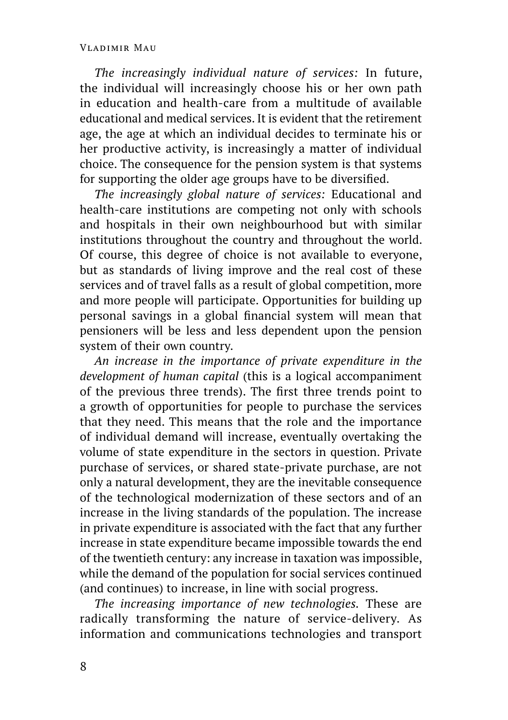*The increasingly individual nature of services:* In future, the individual will increasingly choose his or her own path in education and health-care from a multitude of available educational and medical services. It is evident that the retirement age, the age at which an individual decides to terminate his or her productive activity, is increasingly a matter of individual choice. The consequence for the pension system is that systems for supporting the older age groups have to be diversified.

*The increasingly global nature of services:* Educational and health-care institutions are competing not only with schools and hospitals in their own neighbourhood but with similar institutions throughout the country and throughout the world. Of course, this degree of choice is not available to everyone, but as standards of living improve and the real cost of these services and of travel falls as a result of global competition, more and more people will participate. Opportunities for building up personal savings in a global financial system will mean that pensioners will be less and less dependent upon the pension system of their own country.

*An increase in the importance of private expenditure in the development of human capital* (this is a logical accompaniment of the previous three trends). The first three trends point to a growth of opportunities for people to purchase the services that they need. This means that the role and the importance of individual demand will increase, eventually overtaking the volume of state expenditure in the sectors in question. Private purchase of services, or shared state-private purchase, are not only a natural development, they are the inevitable consequence of the technological modernization of these sectors and of an increase in the living standards of the population. The increase in private expenditure is associated with the fact that any further increase in state expenditure became impossible towards the end of the twentieth century: any increase in taxation was impossible, while the demand of the population for social services continued (and continues) to increase, in line with social progress.

*The increasing importance of new technologies.* These are radically transforming the nature of service-delivery*.* As information and communications technologies and transport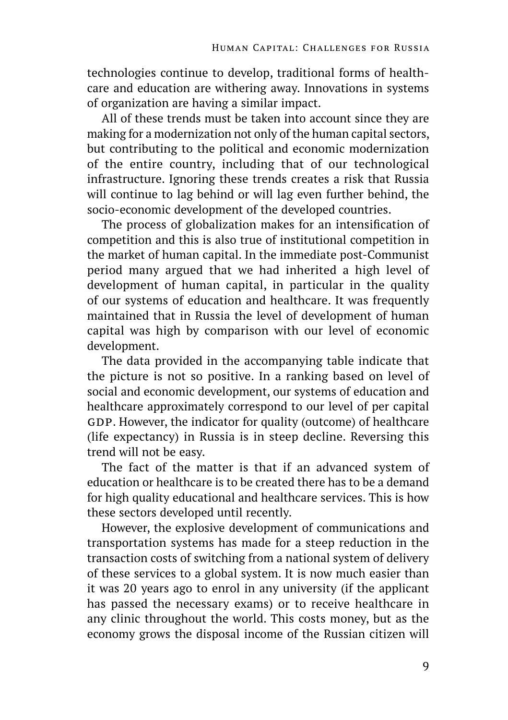technologies continue to develop, traditional forms of healthcare and education are withering away. Innovations in systems of organization are having a similar impact.

All of these trends must be taken into account since they are making for a modernization not only of the human capital sectors, but contributing to the political and economic modernization of the entire country, including that of our technological infrastructure. Ignoring these trends creates a risk that Russia will continue to lag behind or will lag even further behind, the socio-economic development of the developed countries.

The process of globalization makes for an intensification of competition and this is also true of institutional competition in the market of human capital. In the immediate post-Communist period many argued that we had inherited a high level of development of human capital, in particular in the quality of our systems of education and healthcare. It was frequently maintained that in Russia the level of development of human capital was high by comparison with our level of economic development.

The data provided in the accompanying table indicate that the picture is not so positive. In a ranking based on level of social and economic development, our systems of education and healthcare approximately correspond to our level of per capital GDP. However, the indicator for quality (outcome) of healthcare (life expectancy) in Russia is in steep decline. Reversing this trend will not be easy.

The fact of the matter is that if an advanced system of education or healthcare is to be created there has to be a demand for high quality educational and healthcare services. This is how these sectors developed until recently.

However, the explosive development of communications and transportation systems has made for a steep reduction in the transaction costs of switching from a national system of delivery of these services to a global system. It is now much easier than it was 20 years ago to enrol in any university (if the applicant has passed the necessary exams) or to receive healthcare in any clinic throughout the world. This costs money, but as the economy grows the disposal income of the Russian citizen will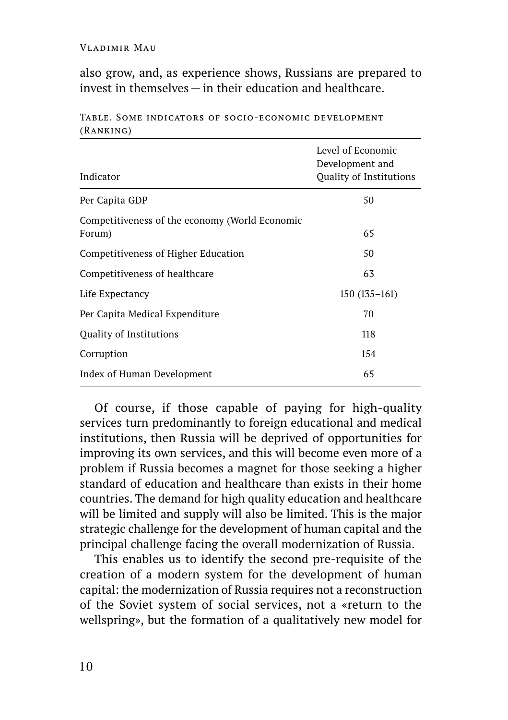#### **VLADIMIR MAU**

also grow, and, as experience shows, Russians are prepared to invest in themselves—in their education and healthcare.

| Indicator                                                | Level of Economic<br>Development and<br><b>Quality of Institutions</b> |
|----------------------------------------------------------|------------------------------------------------------------------------|
| Per Capita GDP                                           | 50                                                                     |
| Competitiveness of the economy (World Economic<br>Forum) | 65                                                                     |
| Competitiveness of Higher Education                      | 50                                                                     |
| Competitiveness of healthcare                            | 63                                                                     |
| Life Expectancy                                          | $150(135-161)$                                                         |
| Per Capita Medical Expenditure                           | 70                                                                     |
| <b>Ouality of Institutions</b>                           | 118                                                                    |
| Corruption                                               | 154                                                                    |
| Index of Human Development                               | 65                                                                     |

TABLE, SOME INDICATORS OF SOCIO-ECONOMIC DEVELOPMENT  $(RANKING)$ 

Of course, if those capable of paying for high-quality services turn predominantly to foreign educational and medical institutions, then Russia will be deprived of opportunities for improving its own services, and this will become even more of a problem if Russia becomes a magnet for those seeking a higher standard of education and healthcare than exists in their home countries. The demand for high quality education and healthcare will be limited and supply will also be limited. This is the major strategic challenge for the development of human capital and the principal challenge facing the overall modernization of Russia.

This enables us to identify the second pre-requisite of the creation of a modern system for the development of human capital: the modernization of Russia requires not a reconstruction of the Soviet system of social services, not a «return to the wellspring», but the formation of a qualitatively new model for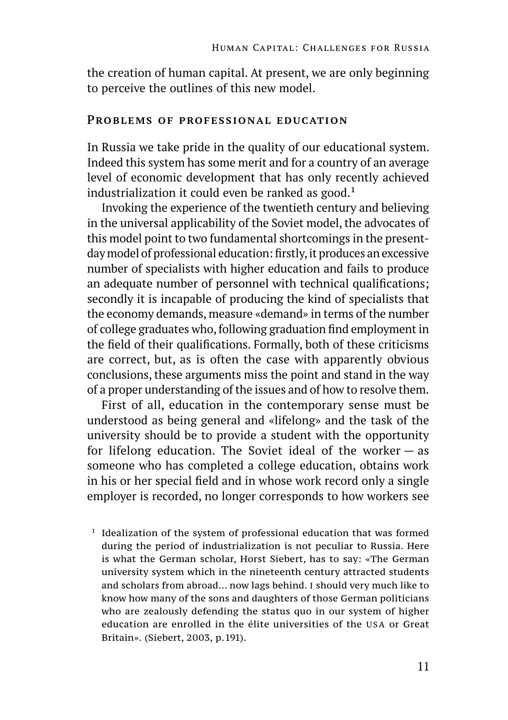the creation of human capital. At present, we are only beginning to perceive the outlines of this new model.

### PROBLEMS OF PROFESSIONAL EDUCATION

In Russia we take pride in the quality of our educational system. Indeed this system has some merit and for a country of an average level of economic development that has only recently achieved industrialization it could even be ranked as  $good.<sup>1</sup>$ 

Invoking the experience of the twentieth century and believing in the universal applicability of the Soviet model, the advocates of this model point to two fundamental shortcomings in the presentday model of professional education: firstly, it produces an excessive number of specialists with higher education and fails to produce an adequate number of personnel with technical qualifications; secondly it is incapable of producing the kind of specialists that the economy demands, measure «demand» in terms of the number of college graduates who, following graduation find employment in the field of their qualifications. Formally, both of these criticisms are correct, but, as is often the case with apparently obvious conclusions, these arguments miss the point and stand in the way of a proper understanding of the issues and of how to resolve them.

First of all, education in the contemporary sense must be understood as being general and «lifelong» and the task of the university should be to provide a student with the opportunity for lifelong education. The Soviet ideal of the worker  $-$  as someone who has completed a college education, obtains work in his or her special field and in whose work record only a single employer is recorded, no longer corresponds to how workers see

 $1$  Idealization of the system of professional education that was formed during the period of industrialization is not peculiar to Russia. Here is what the German scholar, Horst Siebert, has to say: «The German university system which in the nineteenth century attracted students and scholars from abroad… now lags behind. I should very much like to know how many of the sons and daughters of those German politicians who are zealously defending the status quo in our system of higher education are enrolled in the élite universities of the USA or Great Britain». (Siebert, 2003, p.191).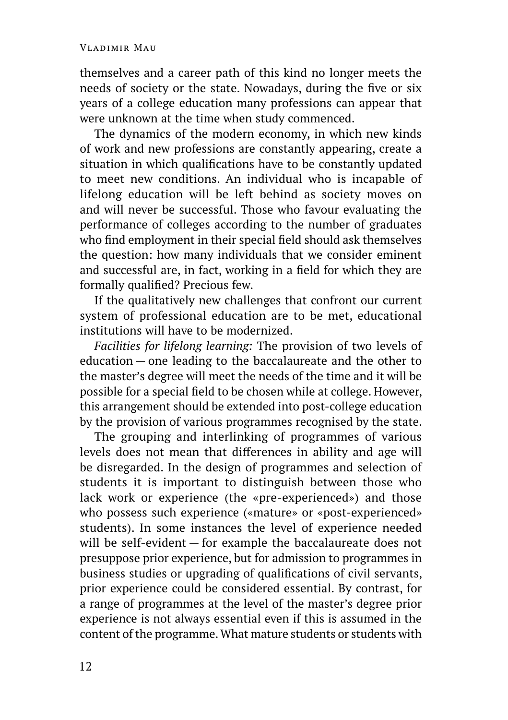themselves and a career path of this kind no longer meets the needs of society or the state. Nowadays, during the five or six years of a college education many professions can appear that were unknown at the time when study commenced.

The dynamics of the modern economy, in which new kinds of work and new professions are constantly appearing, create a situation in which qualifications have to be constantly updated to meet new conditions. An individual who is incapable of lifelong education will be left behind as society moves on and will never be successful. Those who favour evaluating the performance of colleges according to the number of graduates who find employment in their special field should ask themselves the question: how many individuals that we consider eminent and successful are, in fact, working in a field for which they are formally qualified? Precious few.

If the qualitatively new challenges that confront our current system of professional education are to be met, educational institutions will have to be modernized.

*Facilities for lifelong learning:* The provision of two levels of education — one leading to the baccalaureate and the other to the master's degree will meet the needs of the time and it will be possible for a special field to be chosen while at college. However, this arrangement should be extended into post-college education by the provision of various programmes recognised by the state.

The grouping and interlinking of programmes of various levels does not mean that differences in ability and age will be disregarded. In the design of programmes and selection of students it is important to distinguish between those who lack work or experience (the «pre-experienced») and those who possess such experience («mature» or «post-experienced» students). In some instances the level of experience needed will be self-evident — for example the baccalaureate does not presuppose prior experience, but for admission to programmes in business studies or upgrading of qualifications of civil servants, prior experience could be considered essential. By contrast, for a range of programmes at the level of the master's degree prior experience is not always essential even if this is assumed in the content of the programme. What mature students or students with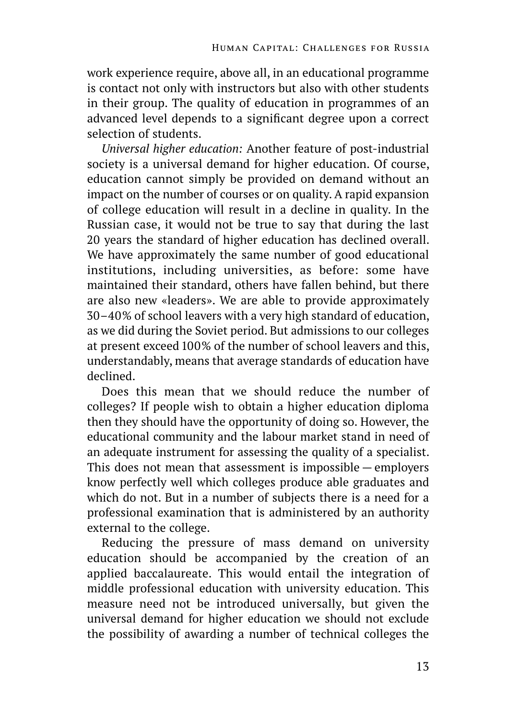work experience require, above all, in an educational programme is contact not only with instructors but also with other students in their group. The quality of education in programmes of an advanced level depends to a significant degree upon a correct selection of students.

*Universal higher education:* Another feature of post-industrial society is a universal demand for higher education. Of course, education cannot simply be provided on demand without an impact on the number of courses or on quality. A rapid expansion of college education will result in a decline in quality. In the Russian case, it would not be true to say that during the last 20 years the standard of higher education has declined overall. We have approximately the same number of good educational institutions, including universities, as before: some have maintained their standard, others have fallen behind, but there are also new «leaders». We are able to provide approximately  $30-40\%$  of school leavers with a very high standard of education, as we did during the Soviet period. But admissions to our colleges at present exceed 100% of the number of school leavers and this, understandably, means that average standards of education have declined.

Does this mean that we should reduce the number of colleges? If people wish to obtain a higher education diploma then they should have the opportunity of doing so. However, the educational community and the labour market stand in need of an adequate instrument for assessing the quality of a specialist. This does not mean that assessment is impossible — employers know perfectly well which colleges produce able graduates and which do not. But in a number of subjects there is a need for a professional examination that is administered by an authority external to the college.

Reducing the pressure of mass demand on university education should be accompanied by the creation of an applied baccalaureate. This would entail the integration of middle professional education with university education. This measure need not be introduced universally, but given the universal demand for higher education we should not exclude the possibility of awarding a number of technical colleges the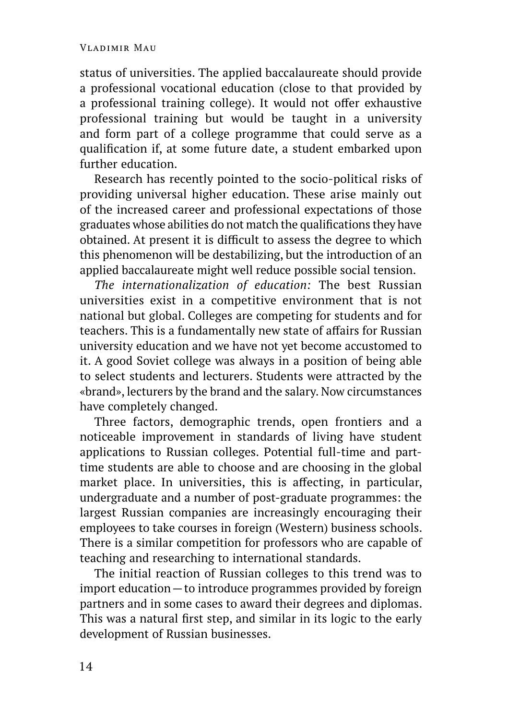status of universities. The applied baccalaureate should provide a professional vocational education (close to that provided by a professional training college). It would not offer exhaustive professional training but would be taught in a university and form part of a college programme that could serve as a qualification if, at some future date, a student embarked upon further education.

Research has recently pointed to the socio-political risks of providing universal higher education. These arise mainly out of the increased career and professional expectations of those graduates whose abilities do not match the qualifications they have obtained. At present it is difficult to assess the degree to which this phenomenon will be destabilizing, but the introduction of an applied baccalaureate might well reduce possible social tension.

*The internationalization of education:* The best Russian universities exist in a competitive environment that is not national but global. Colleges are competing for students and for teachers. This is a fundamentally new state of affairs for Russian university education and we have not yet become accustomed to it. A good Soviet college was always in a position of being able to select students and lecturers. Students were attracted by the «brand», lecturers by the brand and the salary. Now circumstances have completely changed.

Three factors, demographic trends, open frontiers and a noticeable improvement in standards of living have student applications to Russian colleges. Potential full-time and parttime students are able to choose and are choosing in the global market place. In universities, this is affecting, in particular, undergraduate and a number of post-graduate programmes: the largest Russian companies are increasingly encouraging their employees to take courses in foreign (Western) business schools. There is a similar competition for professors who are capable of teaching and researching to international standards.

The initial reaction of Russian colleges to this trend was to import education—to introduce programmes provided by foreign partners and in some cases to award their degrees and diplomas. This was a natural first step, and similar in its logic to the early development of Russian businesses.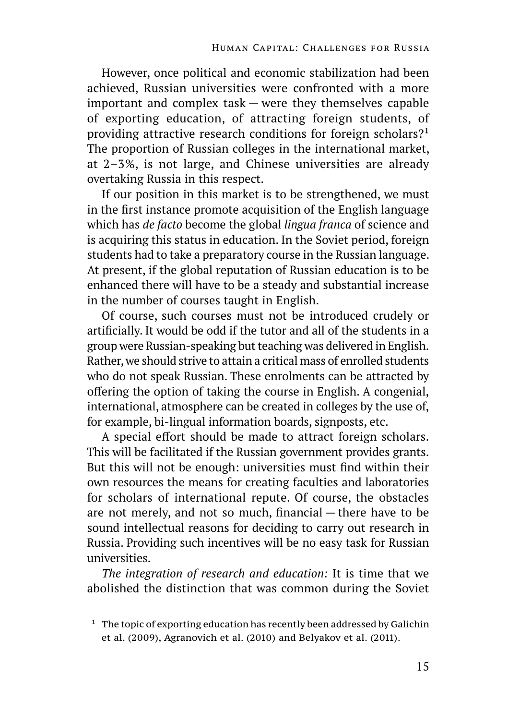However, once political and economic stabilization had been achieved, Russian universities were confronted with a more important and complex task — were they themselves capable of exporting education, of attracting foreign students, of providing attractive research conditions for foreign scholars?<sup>1</sup> The proportion of Russian colleges in the international market, at  $2-3\%$ , is not large, and Chinese universities are already overtaking Russia in this respect.

If our position in this market is to be strengthened, we must in the first instance promote acquisition of the English language which has *de facto* become the global *lingua franca* of science and is acquiring this status in education. In the Soviet period, foreign students had to take a preparatory course in the Russian language. At present, if the global reputation of Russian education is to be enhanced there will have to be a steady and substantial increase in the number of courses taught in English.

Of course, such courses must not be introduced crudely or artificially. It would be odd if the tutor and all of the students in a group were Russian-speaking but teaching was delivered in English. Rather,we should strive to attain a critical mass of enrolled students who do not speak Russian. These enrolments can be attracted by offering the option of taking the course in English. A congenial, international, atmosphere can be created in colleges by the use of, for example, bi-lingual information boards, signposts, etc.

A special effort should be made to attract foreign scholars. This will be facilitated if the Russian government provides grants. But this will not be enough: universities must find within their own resources the means for creating faculties and laboratories for scholars of international repute. Of course, the obstacles are not merely, and not so much, financial  $-$  there have to be sound intellectual reasons for deciding to carry out research in Russia. Providing such incentives will be no easy task for Russian universities.

*The integration of research and education:* It is time that we abolished the distinction that was common during the Soviet

 $1$  The topic of exporting education has recently been addressed by Galichin et al. (2009), Agranovich et al. (2010) and Belyakov et al. (2011).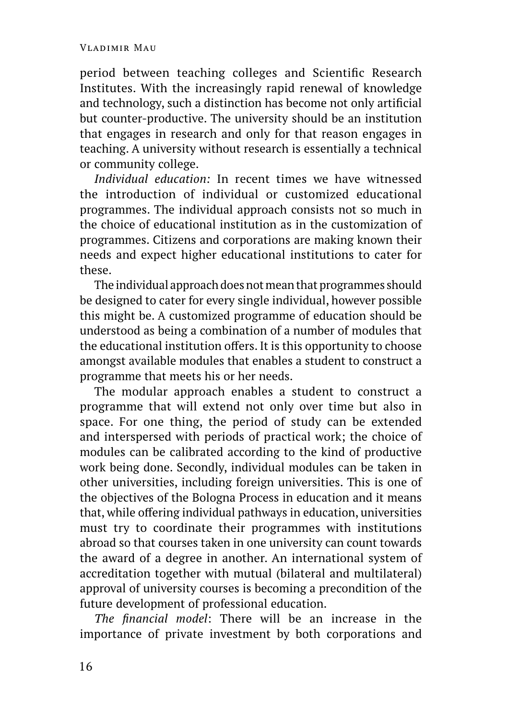#### **VLADIMIR MAU**

period between teaching colleges and Scientific Research Institutes. With the increasingly rapid renewal of knowledge and technology, such a distinction has become not only artificial but counter-productive. The university should be an institution that engages in research and only for that reason engages in teaching. A university without research is essentially a technical or community college.

*Individual education:* In recent times we have witnessed the introduction of individual or customized educational programmes. The individual approach consists not so much in the choice of educational institution as in the customization of programmes. Citizens and corporations are making known their needs and expect higher educational institutions to cater for these.

The individual approach does not mean that programmes should be designed to cater for every single individual, however possible this might be. A customized programme of education should be understood as being a combination of a number of modules that the educational institution offers. It is this opportunity to choose amongst available modules that enables a student to construct a programme that meets his or her needs.

The modular approach enables a student to construct a programme that will extend not only over time but also in space. For one thing, the period of study can be extended and interspersed with periods of practical work; the choice of modules can be calibrated according to the kind of productive work being done. Secondly, individual modules can be taken in other universities, including foreign universities. This is one of the objectives of the Bologna Process in education and it means that, while offering individual pathways in education, universities must try to coordinate their programmes with institutions abroad so that courses taken in one university can count towards the award of a degree in another. An international system of accreditation together with mutual (bilateral and multilateral) approval of university courses is becoming a precondition of the future development of professional education.

The financial model: There will be an increase in the importance of private investment by both corporations and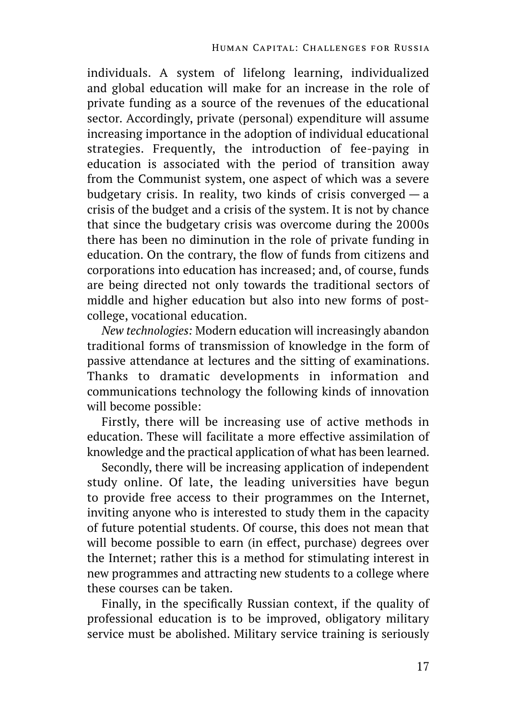individuals. A system of lifelong learning, individualized and global education will make for an increase in the role of private funding as a source of the revenues of the educational sector. Accordingly, private (personal) expenditure will assume increasing importance in the adoption of individual educational strategies. Frequently, the introduction of fee-paying in education is associated with the period of transition away from the Communist system, one aspect of which was a severe budgetary crisis. In reality, two kinds of crisis converged — a crisis of the budget and a crisis of the system. It is not by chance that since the budgetary crisis was overcome during the 2000s there has been no diminution in the role of private funding in education. On the contrary, the flow of funds from citizens and corporations into education has increased; and, of course, funds are being directed not only towards the traditional sectors of middle and higher education but also into new forms of postcollege, vocational education.

*New technologies:* Modern education will increasingly abandon traditional forms of transmission of knowledge in the form of passive attendance at lectures and the sitting of examinations. Thanks to dramatic developments in information and communications technology the following kinds of innovation will become possible:

Firstly, there will be increasing use of active methods in education. These will facilitate a more effective assimilation of knowledge and the practical application of what has been learned.

Secondly, there will be increasing application of independent study online. Of late, the leading universities have begun to provide free access to their programmes on the Internet, inviting anyone who is interested to study them in the capacity of future potential students. Of course, this does not mean that will become possible to earn (in effect, purchase) degrees over the Internet; rather this is a method for stimulating interest in new programmes and attracting new students to a college where these courses can be taken.

Finally, in the specifically Russian context, if the quality of professional education is to be improved, obligatory military service must be abolished. Military service training is seriously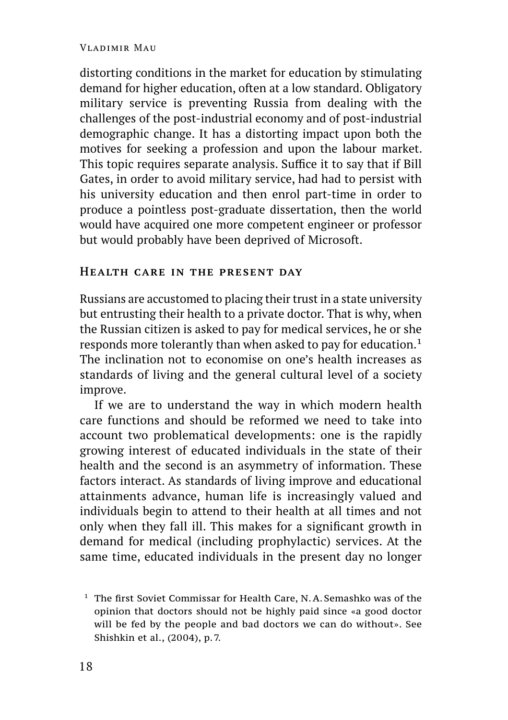#### **VLADIMIR MAU**

distorting conditions in the market for education by stimulating demand for higher education, often at a low standard. Obligatory military service is preventing Russia from dealing with the challenges of the post-industrial economy and of post-industrial demographic change. It has a distorting impact upon both the motives for seeking a profession and upon the labour market. This topic requires separate analysis. Suffice it to say that if Bill Gates, in order to avoid military service, had had to persist with his university education and then enrol part-time in order to produce a pointless post-graduate dissertation, then the world would have acquired one more competent engineer or professor but would probably have been deprived of Microsoft.

# HEALTH CARE IN THE PRESENT DAY

Russians are accustomed to placing their trust in a state university but entrusting their health to a private doctor. That is why, when the Russian citizen is asked to pay for medical services, he or she responds more tolerantly than when asked to pay for education.<sup>1</sup> The inclination not to economise on one's health increases as standards of living and the general cultural level of a society improve.

If we are to understand the way in which modern health care functions and should be reformed we need to take into account two problematical developments: one is the rapidly growing interest of educated individuals in the state of their health and the second is an asymmetry of information. These factors interact. As standards of living improve and educational attainments advance, human life is increasingly valued and individuals begin to attend to their health at all times and not only when they fall ill. This makes for a significant growth in demand for medical (including prophylactic) services. At the same time, educated individuals in the present day no longer

 $1$  The first Soviet Commissar for Health Care, N.A. Semashko was of the opinion that doctors should not be highly paid since «a good doctor will be fed by the people and bad doctors we can do without». See Shishkin et al., (2004), p.7.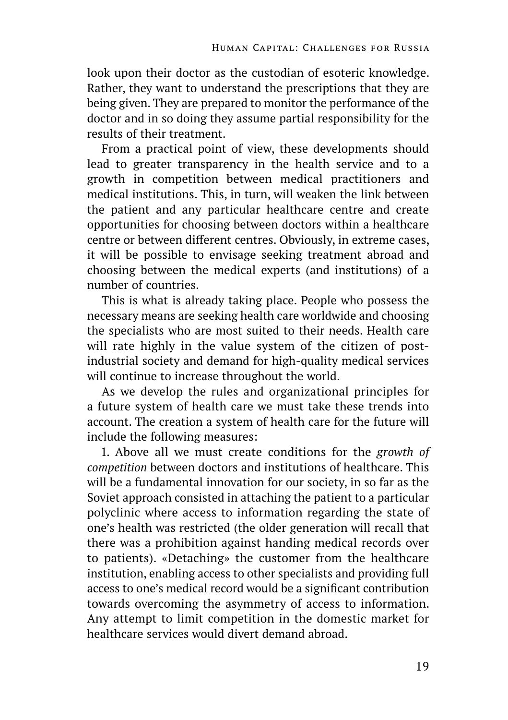look upon their doctor as the custodian of esoteric knowledge. Rather, they want to understand the prescriptions that they are being given. They are prepared to monitor the performance of the doctor and in so doing they assume partial responsibility for the results of their treatment.

From a practical point of view, these developments should lead to greater transparency in the health service and to a growth in competition between medical practitioners and medical institutions. This, in turn, will weaken the link between the patient and any particular healthcare centre and create opportunities for choosing between doctors within a healthcare centre or between different centres. Obviously, in extreme cases, it will be possible to envisage seeking treatment abroad and choosing between the medical experts (and institutions) of a number of countries.

This is what is already taking place. People who possess the necessary means are seeking health care worldwide and choosing the specialists who are most suited to their needs. Health care will rate highly in the value system of the citizen of postindustrial society and demand for high-quality medical services will continue to increase throughout the world.

As we develop the rules and organizational principles for a future system of health care we must take these trends into account. The creation a system of health care for the future will include the following measures:

. Above all we must create conditions for the *growth of competition* between doctors and institutions of healthcare. This will be a fundamental innovation for our society, in so far as the Soviet approach consisted in attaching the patient to a particular polyclinic where access to information regarding the state of one's health was restricted (the older generation will recall that there was a prohibition against handing medical records over to patients). «Detaching» the customer from the healthcare institution, enabling access to other specialists and providing full access to one's medical record would be a significant contribution towards overcoming the asymmetry of access to information. Any attempt to limit competition in the domestic market for healthcare services would divert demand abroad.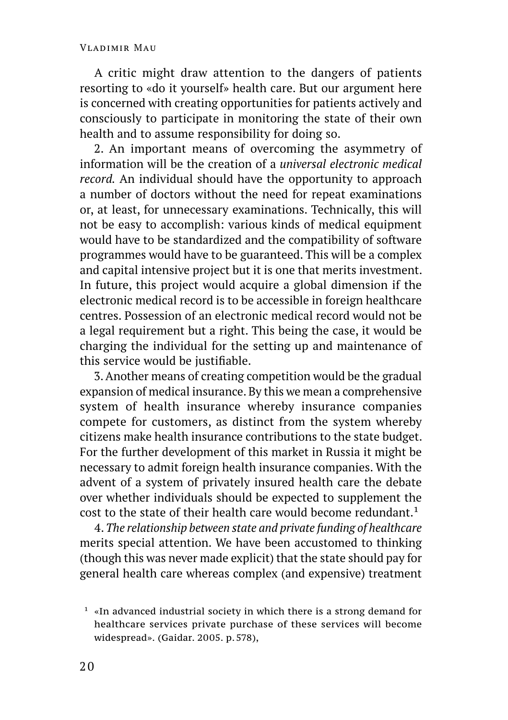A critic might draw attention to the dangers of patients resorting to «do it yourself» health care. But our argument here is concerned with creating opportunities for patients actively and consciously to participate in monitoring the state of their own health and to assume responsibility for doing so.

. An important means of overcoming the asymmetry of information will be the creation of a *universal electronic medical record.* An individual should have the opportunity to approach a number of doctors without the need for repeat examinations or, at least, for unnecessary examinations. Technically, this will not be easy to accomplish: various kinds of medical equipment would have to be standardized and the compatibility of software programmes would have to be guaranteed. This will be a complex and capital intensive project but it is one that merits investment. In future, this project would acquire a global dimension if the electronic medical record is to be accessible in foreign healthcare centres. Possession of an electronic medical record would not be a legal requirement but a right. This being the case, it would be charging the individual for the setting up and maintenance of this service would be justifiable.

. Another means of creating competition would be the gradual expansion of medical insurance. By this we mean a comprehensive system of health insurance whereby insurance companies compete for customers, as distinct from the system whereby citizens make health insurance contributions to the state budget. For the further development of this market in Russia it might be necessary to admit foreign health insurance companies. With the advent of a system of privately insured health care the debate over whether individuals should be expected to supplement the cost to the state of their health care would become redundant.<sup>1</sup>

. *The relationship between state and private funding of healthcare* merits special attention. We have been accustomed to thinking (though this was never made explicit) that the state should pay for general health care whereas complex (and expensive) treatment

 $1 \times 1$  «In advanced industrial society in which there is a strong demand for healthcare services private purchase of these services will become widespread». (Gaidar. 2005. p. 578),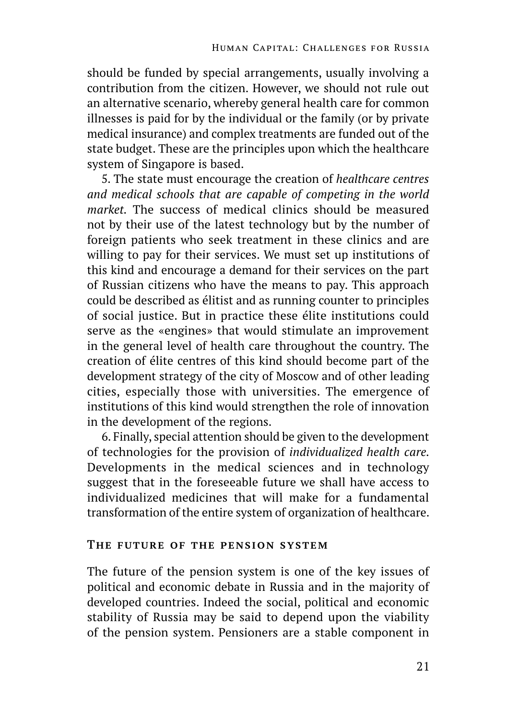should be funded by special arrangements, usually involving a contribution from the citizen. However, we should not rule out an alternative scenario, whereby general health care for common illnesses is paid for by the individual or the family (or by private medical insurance) and complex treatments are funded out of the state budget. These are the principles upon which the healthcare system of Singapore is based.

. The state must encourage the creation of *healthcare centres and medical schools that are capable of competing in the world market.* The success of medical clinics should be measured not by their use of the latest technology but by the number of foreign patients who seek treatment in these clinics and are willing to pay for their services. We must set up institutions of this kind and encourage a demand for their services on the part of Russian citizens who have the means to pay. This approach could be described as élitist and as running counter to principles of social justice. But in practice these élite institutions could serve as the «engines» that would stimulate an improvement in the general level of health care throughout the country. The creation of élite centres of this kind should become part of the development strategy of the city of Moscow and of other leading cities, especially those with universities. The emergence of institutions of this kind would strengthen the role of innovation in the development of the regions.

. Finally, special attention should be given to the development of technologies for the provision of *individualized health care.*  Developments in the medical sciences and in technology suggest that in the foreseeable future we shall have access to individualized medicines that will make for a fundamental transformation of the entire system of organization of healthcare.

# THE FUTURE OF THE PENSION SYSTEM

The future of the pension system is one of the key issues of political and economic debate in Russia and in the majority of developed countries. Indeed the social, political and economic stability of Russia may be said to depend upon the viability of the pension system. Pensioners are a stable component in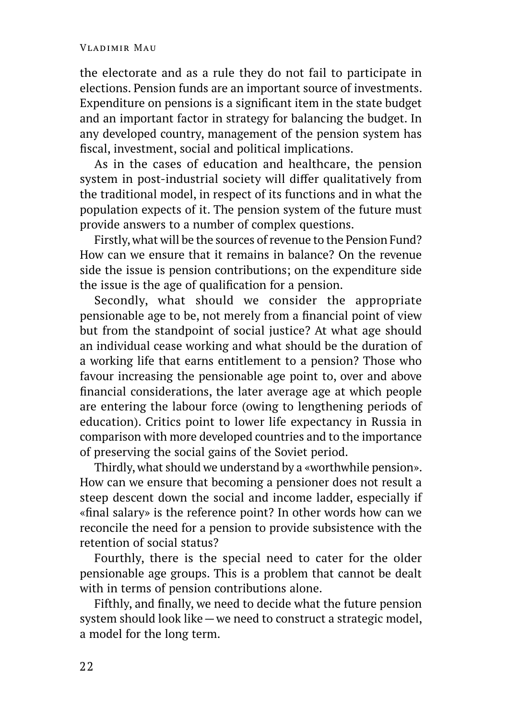the electorate and as a rule they do not fail to participate in elections. Pension funds are an important source of investments. Expenditure on pensions is a significant item in the state budget and an important factor in strategy for balancing the budget. In any developed country, management of the pension system has fiscal, investment, social and political implications.

As in the cases of education and healthcare, the pension system in post-industrial society will differ qualitatively from the traditional model, in respect of its functions and in what the population expects of it. The pension system of the future must provide answers to a number of complex questions.

Firstly, what will be the sources of revenue to the Pension Fund? How can we ensure that it remains in balance? On the revenue side the issue is pension contributions; on the expenditure side the issue is the age of qualification for a pension.

Secondly, what should we consider the appropriate pensionable age to be, not merely from a financial point of view but from the standpoint of social justice? At what age should an individual cease working and what should be the duration of a working life that earns entitlement to a pension? Those who favour increasing the pensionable age point to, over and above financial considerations, the later average age at which people are entering the labour force (owing to lengthening periods of education). Critics point to lower life expectancy in Russia in comparison with more developed countries and to the importance of preserving the social gains of the Soviet period.

Thirdly, what should we understand by a «worthwhile pension». How can we ensure that becoming a pensioner does not result a steep descent down the social and income ladder, especially if «final salary» is the reference point? In other words how can we reconcile the need for a pension to provide subsistence with the retention of social status?

Fourthly, there is the special need to cater for the older pensionable age groups. This is a problem that cannot be dealt with in terms of pension contributions alone.

Fifthly, and finally, we need to decide what the future pension system should look like—we need to construct a strategic model, a model for the long term.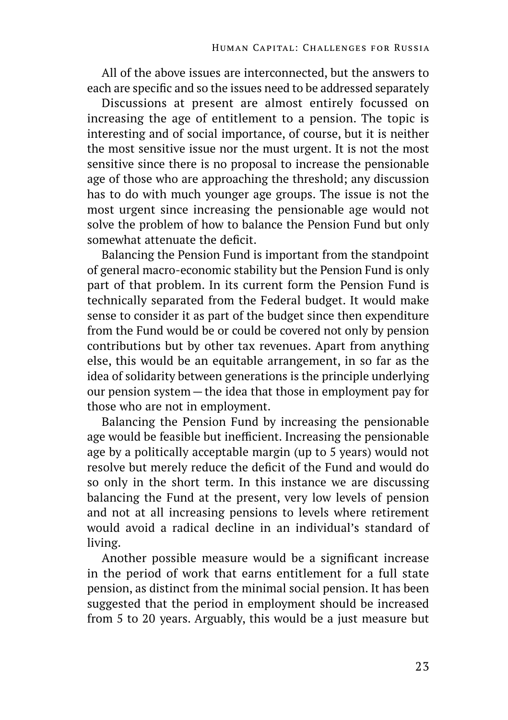All of the above issues are interconnected, but the answers to each are specific and so the issues need to be addressed separately

Discussions at present are almost entirely focussed on increasing the age of entitlement to a pension. The topic is interesting and of social importance, of course, but it is neither the most sensitive issue nor the must urgent. It is not the most sensitive since there is no proposal to increase the pensionable age of those who are approaching the threshold; any discussion has to do with much younger age groups. The issue is not the most urgent since increasing the pensionable age would not solve the problem of how to balance the Pension Fund but only somewhat attenuate the deficit.

Balancing the Pension Fund is important from the standpoint of general macro-economic stability but the Pension Fund is only part of that problem. In its current form the Pension Fund is technically separated from the Federal budget. It would make sense to consider it as part of the budget since then expenditure from the Fund would be or could be covered not only by pension contributions but by other tax revenues. Apart from anything else, this would be an equitable arrangement, in so far as the idea of solidarity between generations is the principle underlying our pension system—the idea that those in employment pay for those who are not in employment.

Balancing the Pension Fund by increasing the pensionable age would be feasible but inefficient. Increasing the pensionable age by a politically acceptable margin (up to 5 years) would not resolve but merely reduce the deficit of the Fund and would do so only in the short term. In this instance we are discussing balancing the Fund at the present, very low levels of pension and not at all increasing pensions to levels where retirement would avoid a radical decline in an individual's standard of living.

Another possible measure would be a significant increase in the period of work that earns entitlement for a full state pension, as distinct from the minimal social pension. It has been suggested that the period in employment should be increased from 5 to 20 years. Arguably, this would be a just measure but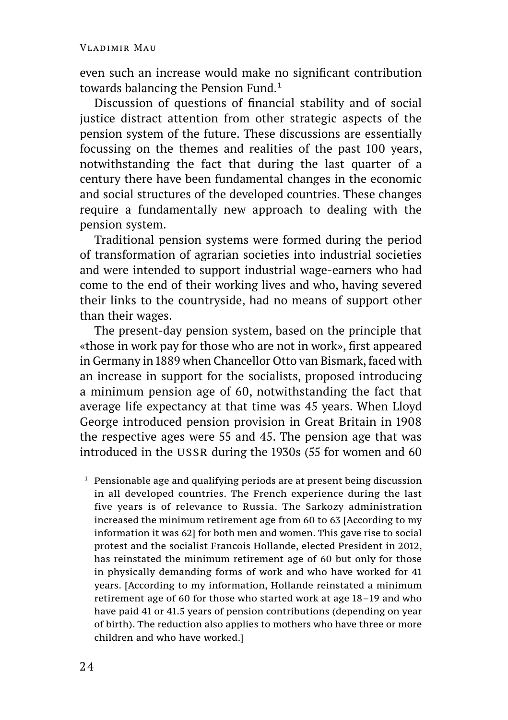even such an increase would make no significant contribution towards balancing the Pension Fund.<sup>1</sup>

Discussion of questions of financial stability and of social justice distract attention from other strategic aspects of the pension system of the future. These discussions are essentially focussing on the themes and realities of the past 100 years, notwithstanding the fact that during the last quarter of a century there have been fundamental changes in the economic and social structures of the developed countries. These changes require a fundamentally new approach to dealing with the pension system.

Traditional pension systems were formed during the period of transformation of agrarian societies into industrial societies and were intended to support industrial wage-earners who had come to the end of their working lives and who, having severed their links to the countryside, had no means of support other than their wages.

The present-day pension system, based on the principle that «those in work pay for those who are not in work», first appeared in Germany in 1889 when Chancellor Otto van Bismark, faced with an increase in support for the socialists, proposed introducing a minimum pension age of 60, notwithstanding the fact that average life expectancy at that time was 45 years. When Lloyd George introduced pension provision in Great Britain in the respective ages were  $55$  and  $45$ . The pension age that was introduced in the USSR during the  $1930s$  (55 for women and 60

 $1$  Pensionable age and qualifying periods are at present being discussion in all developed countries. The French experience during the last five years is of relevance to Russia. The Sarkozy administration increased the minimum retirement age from 60 to 63 [According to my information it was 62] for both men and women. This gave rise to social protest and the socialist Francois Hollande, elected President in 2012, has reinstated the minimum retirement age of 60 but only for those in physically demanding forms of work and who have worked for years. [According to my information, Hollande reinstated a minimum retirement age of  $60$  for those who started work at age  $18-19$  and who have paid 41 or 41.5 years of pension contributions (depending on year of birth). The reduction also applies to mothers who have three or more children and who have worked.]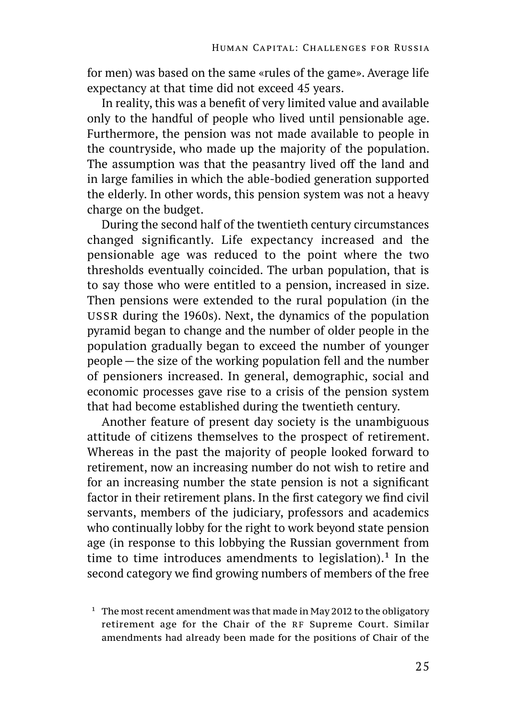for men) was based on the same «rules of the game». Average life expectancy at that time did not exceed 45 years.

In reality, this was a benefit of very limited value and available only to the handful of people who lived until pensionable age. Furthermore, the pension was not made available to people in the countryside, who made up the majority of the population. The assumption was that the peasantry lived off the land and in large families in which the able-bodied generation supported the elderly. In other words, this pension system was not a heavy charge on the budget.

During the second half of the twentieth century circumstances changed significantly. Life expectancy increased and the pensionable age was reduced to the point where the two thresholds eventually coincided. The urban population, that is to say those who were entitled to a pension, increased in size. Then pensions were extended to the rural population (in the USSR during the 1960s). Next, the dynamics of the population pyramid began to change and the number of older people in the population gradually began to exceed the number of younger people—the size of the working population fell and the number of pensioners increased. In general, demographic, social and economic processes gave rise to a crisis of the pension system that had become established during the twentieth century.

Another feature of present day society is the unambiguous attitude of citizens themselves to the prospect of retirement. Whereas in the past the majority of people looked forward to retirement, now an increasing number do not wish to retire and for an increasing number the state pension is not a significant factor in their retirement plans. In the first category we find civil servants, members of the judiciary, professors and academics who continually lobby for the right to work beyond state pension age (in response to this lobbying the Russian government from time to time introduces amendments to legislation).<sup>1</sup> In the second category we find growing numbers of members of the free

 $1$  The most recent amendment was that made in May 2012 to the obligatory retirement age for the Chair of the RF Supreme Court. Similar amendments had already been made for the positions of Chair of the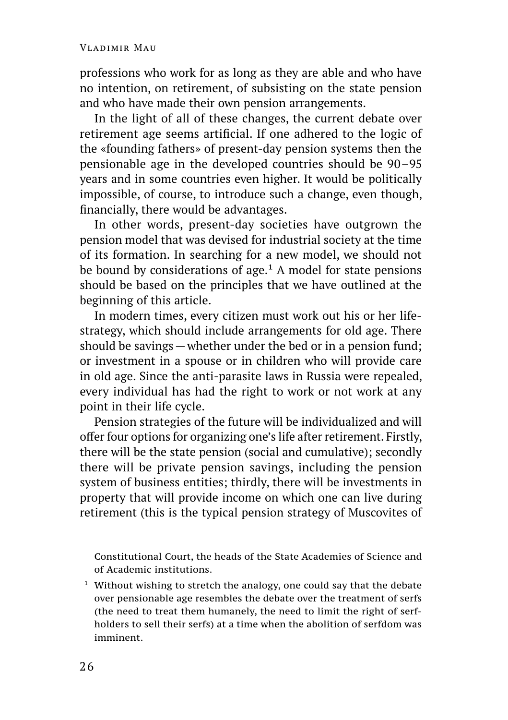professions who work for as long as they are able and who have no intention, on retirement, of subsisting on the state pension and who have made their own pension arrangements.

In the light of all of these changes, the current debate over retirement age seems artificial. If one adhered to the logic of the «founding fathers» of present-day pension systems then the pensionable age in the developed countries should be  $90-95$ years and in some countries even higher. It would be politically impossible, of course, to introduce such a change, even though, financially, there would be advantages.

In other words, present-day societies have outgrown the pension model that was devised for industrial society at the time of its formation. In searching for a new model, we should not be bound by considerations of  $a$ ge.<sup>1</sup> A model for state pensions should be based on the principles that we have outlined at the beginning of this article.

In modern times, every citizen must work out his or her lifestrategy, which should include arrangements for old age. There should be savings—whether under the bed or in a pension fund; or investment in a spouse or in children who will provide care in old age. Since the anti-parasite laws in Russia were repealed, every individual has had the right to work or not work at any point in their life cycle.

Pension strategies of the future will be individualized and will offer four options for organizing one's life after retirement. Firstly, there will be the state pension (social and cumulative); secondly there will be private pension savings, including the pension system of business entities; thirdly, there will be investments in property that will provide income on which one can live during retirement (this is the typical pension strategy of Muscovites of

Constitutional Court, the heads of the State Academies of Science and of Academic institutions.

 $1$  Without wishing to stretch the analogy, one could say that the debate over pensionable age resembles the debate over the treatment of serfs (the need to treat them humanely, the need to limit the right of serfholders to sell their serfs) at a time when the abolition of serfdom was imminent.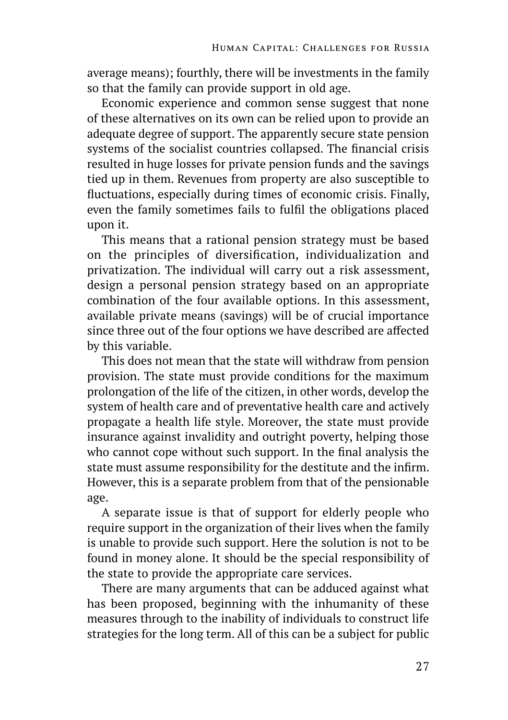average means); fourthly, there will be investments in the family so that the family can provide support in old age.

Economic experience and common sense suggest that none of these alternatives on its own can be relied upon to provide an adequate degree of support. The apparently secure state pension systems of the socialist countries collapsed. The financial crisis resulted in huge losses for private pension funds and the savings tied up in them. Revenues from property are also susceptible to fluctuations, especially during times of economic crisis. Finally, even the family sometimes fails to fulfil the obligations placed upon it.

This means that a rational pension strategy must be based on the principles of diversification, individualization and privatization. The individual will carry out a risk assessment, design a personal pension strategy based on an appropriate combination of the four available options. In this assessment, available private means (savings) will be of crucial importance since three out of the four options we have described are affected by this variable.

This does not mean that the state will withdraw from pension provision. The state must provide conditions for the maximum prolongation of the life of the citizen, in other words, develop the system of health care and of preventative health care and actively propagate a health life style. Moreover, the state must provide insurance against invalidity and outright poverty, helping those who cannot cope without such support. In the final analysis the state must assume responsibility for the destitute and the infirm. However, this is a separate problem from that of the pensionable age.

A separate issue is that of support for elderly people who require support in the organization of their lives when the family is unable to provide such support. Here the solution is not to be found in money alone. It should be the special responsibility of the state to provide the appropriate care services.

There are many arguments that can be adduced against what has been proposed, beginning with the inhumanity of these measures through to the inability of individuals to construct life strategies for the long term. All of this can be a subject for public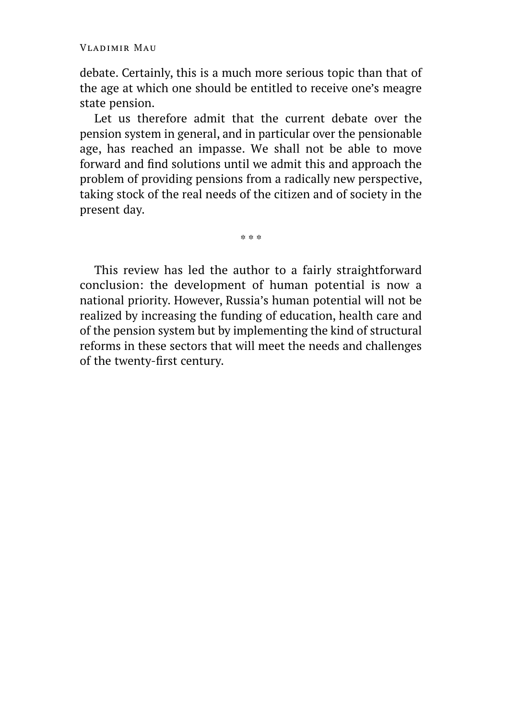#### **VLADIMIR MAU**

debate. Certainly, this is a much more serious topic than that of the age at which one should be entitled to receive one's meagre state pension.

Let us therefore admit that the current debate over the pension system in general, and in particular over the pensionable age, has reached an impasse. We shall not be able to move forward and find solutions until we admit this and approach the problem of providing pensions from a radically new perspective, taking stock of the real needs of the citizen and of society in the present day.

\* \* \*

This review has led the author to a fairly straightforward conclusion: the development of human potential is now a national priority. However, Russia's human potential will not be realized by increasing the funding of education, health care and of the pension system but by implementing the kind of structural reforms in these sectors that will meet the needs and challenges of the twenty-first century.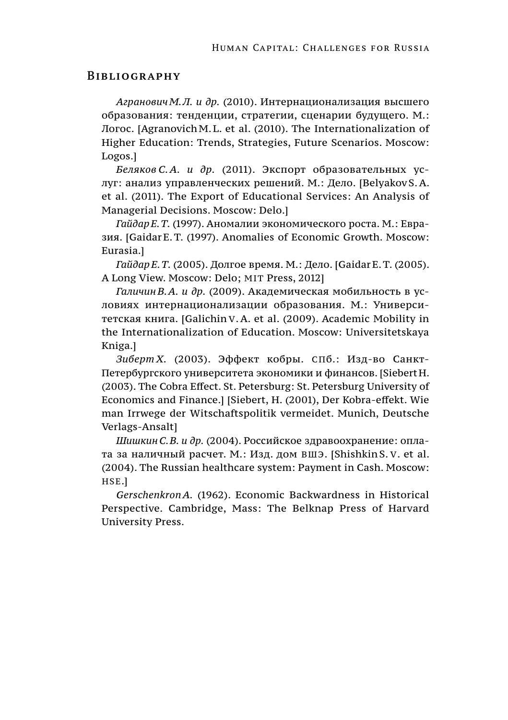### **BIBLIOGRAPHY**

*Агранович* М.Л. и др. (2010). Интернационализация высшего образования: тенденции, стратегии, сценарии будущего. М.: Логос. [Agranovich M.L. et al. (2010). The Internationalization of Higher Education: Trends, Strategies, Future Scenarios. Moscow: Logos.]

*Беляков* С.*А. и др.* (2011). Экспорт образовательных услуг: анализ управленческих решений. М.: Дело. [Belyakov S. A. et al. (2011). The Export of Educational Services: An Analysis of Managerial Decisions. Moscow: Delo.]

Гайдар Е. Т. (1997). Аномалии экономического роста. М.: Евразия. [Gaidar E.T. (1997). Anomalies of Economic Growth. Moscow: Eurasia.]

*Гайдар* Е. Т. (2005). Долгое время. М.: Дело. [Gaidar E. T. (2005). A Long View. Moscow: Delo; MIT Press, 2012]

Галичин В.А. и др. (2009). Академическая мобильность в условиях интернационализации образования. М.: Университетская книга. [Galichin V. A. et al. (2009). Academic Mobility in the Internationalization of Education. Moscow: Universitetskaya Kniga.]

*Зиберт Х. (2003).* Эффект кобры. СПб.: Изд-во Санкт-Петербургского университета экономики и финансов. [Siebert H. (2003). The Cobra Effect. St. Petersburg: St. Petersburg University of Economics and Finance.] [Siebert, H. (2001), Der Kobra-effekt. Wie man Irrwege der Witschaftspolitik vermeidet. Munich, Deutsche Verlags-Ansalt]

Шишкин С.*В. и др.* (2004). Российское здравоохранение: оплата за наличный расчет. М.: Изд. дом вшЭ. [Shishkin S.V. et al. (2004). The Russian healthcare system: Payment in Cash. Moscow: HSE.]

Gerschenkron*A*. (1962). Economic Backwardness in Historical Perspective. Cambridge, Mass: The Belknap Press of Harvard University Press.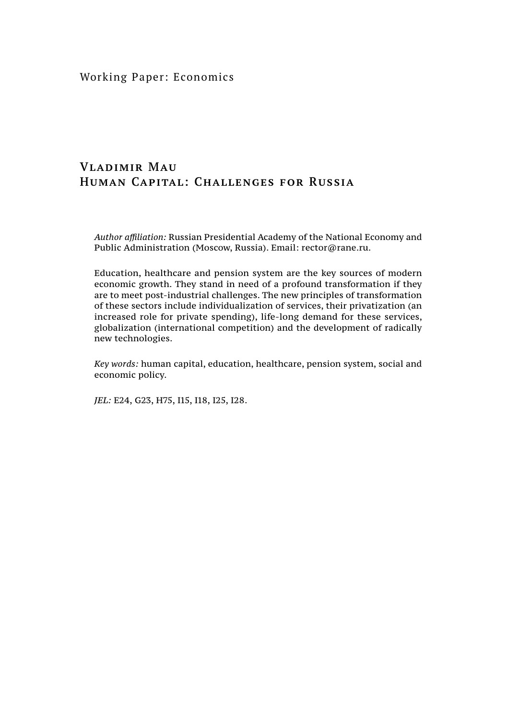# Working Paper: Economics

# **VLADIMIR MAU** HUMAN CAPITAL: CHALLENGES FOR RUSSIA

*Author affi liation:* Russian Presidential Academy of the National Economy and Public Administration (Moscow, Russia). Email: rector@rane.ru.

Education, healthcare and pension system are the key sources of modern economic growth. They stand in need of a profound transformation if they are to meet post-industrial challenges. The new principles of transformation of these sectors include individualization of services, their privatization (an increased role for private spending), life-long demand for these services, globalization (international competition) and the development of radically new technologies.

*Key words:* human capital, education, healthcare, pension system, social and economic policy.

*JEL: E24, G23, H75, I15, I18, I25, I28.*